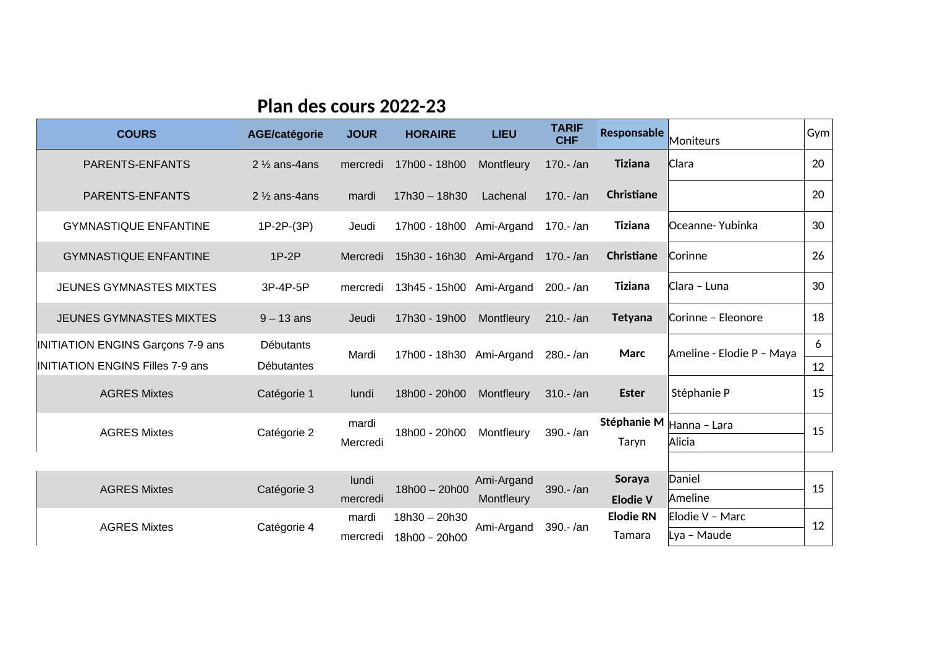## **Plan des cours 2022-23**

| <b>COURS</b>                                                          | <b>AGE/catégorie</b>           | <b>JOUR</b>       | <b>HORAIRE</b>           | <b>LIEU</b> | <b>TARIF</b><br><b>CHF</b> | <b>Responsable</b>   | Moniteurs                 | Gym     |
|-----------------------------------------------------------------------|--------------------------------|-------------------|--------------------------|-------------|----------------------------|----------------------|---------------------------|---------|
| PARENTS-ENFANTS                                                       | 2 $\frac{1}{2}$ ans-4 ans      | mercredi          | 17h00 - 18h00            | Montfleury  | 170 .- /an                 | Tiziana              | Clara                     | 20      |
| PARENTS-ENFANTS                                                       | $2\frac{1}{2}$ ans-4 ans       | mardi             | 17h30 - 18h30            | Lachenal    | $170 - \tan$               | Christiane           |                           | 20      |
| <b>GYMNASTIQUE ENFANTINE</b>                                          | 1P-2P-(3P)                     | Jeudi             | 17h00 - 18h00            | Ami-Argand  | 170.-/an                   | <b>Tiziana</b>       | Oceanne- Yubinka          | 30      |
| <b>GYMNASTIQUE ENFANTINE</b>                                          | $1P-2P$                        | Mercredi          | 15h30 - 16h30 Ami-Argand |             | $170 - \tan$               | Christiane           | Corinne                   | 26      |
| <b>JEUNES GYMNASTES MIXTES</b>                                        | 3P-4P-5P                       | mercredi          | 13h45 - 15h00 Ami-Argand |             | $200.-/an$                 | <b>Tiziana</b>       | Clara - Luna              | 30      |
| <b>JEUNES GYMNASTES MIXTES</b>                                        | $9 - 13$ ans                   | Jeudi             | 17h30 - 19h00            | Montfleury  | $210 - \tan$               | <b>Tetyana</b>       | Corinne - Eleonore        | 18      |
| INITIATION ENGINS Garçons 7-9 ans<br>INITIATION ENGINS Filles 7-9 ans | Débutants<br><b>Débutantes</b> | Mardi             | 17h00 - 18h30 Ami-Argand |             | 280 .- /an                 | Marc                 | Ameline - Elodie P – Maya | 6<br>12 |
| <b>AGRES Mixtes</b>                                                   | Catégorie 1                    | lundi             | 18h00 - 20h00            | Montfleury  | $310.-/an$                 | <b>Ester</b>         | Stéphanie P               | 15      |
| <b>AGRES Mixtes</b>                                                   | Catégorie 2                    | mardi<br>Mercredi | 18h00 - 20h00            | Montfleury  | 390.-/an                   | Stéphanie M<br>Taryn | Hanna - Lara<br>Alicia    | 15      |
| <b>AGRES Mixtes</b>                                                   | Catégorie 3                    | lundi             | 18h00 - 20h00            | Ami-Argand  | 390.-/an                   | Soraya               | Daniel                    | 15      |
|                                                                       |                                | mercredi          |                          | Montfleury  |                            | <b>Elodie V</b>      | Ameline                   |         |
| <b>AGRES Mixtes</b>                                                   | Catégorie 4                    | mardi             | 18h30 - 20h30            | Ami-Argand  | 390.-/an                   | <b>Elodie RN</b>     | Elodie V - Marc           | 12      |
|                                                                       |                                | mercredi          | 18h00 - 20h00            |             |                            | Tamara               | Lya - Maude               |         |